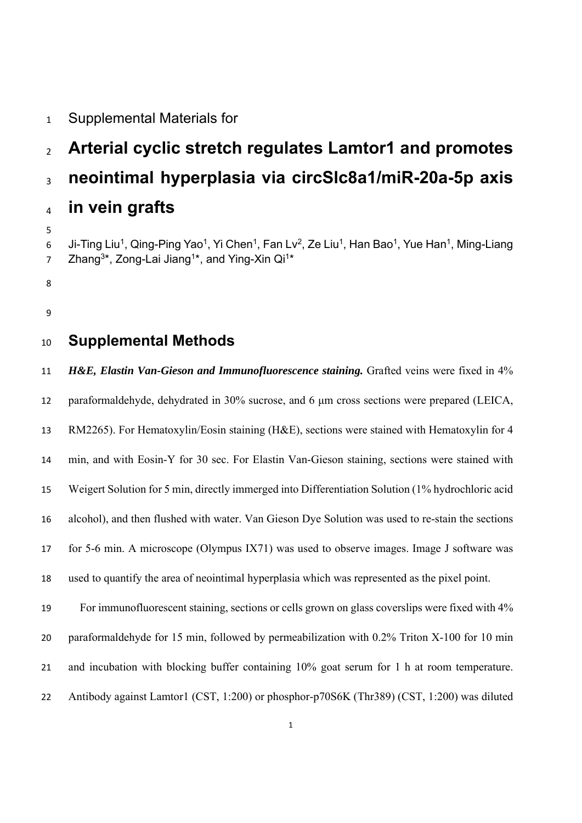### Supplemental Materials for

# **Arterial cyclic stretch regulates Lamtor1 and promotes neointimal hyperplasia via circSlc8a1/miR-20a-5p axis in vein grafts**

6 Ji-Ting Liu<sup>1</sup>, Qing-Ping Yao<sup>1</sup>, Yi Chen<sup>1</sup>, Fan Lv<sup>2</sup>, Ze Liu<sup>1</sup>, Han Bao<sup>1</sup>, Yue Han<sup>1</sup>, Ming-Liang 7 Zhang<sup>3\*</sup>, Zong-Lai Jiang<sup>1\*</sup>, and Ying-Xin Qi<sup>1\*</sup>

- 
- 

# **Supplemental Methods**

 *H&E, Elastin Van-Gieson and Immunofluorescence staining.* Grafted veins were fixed in 4% paraformaldehyde, dehydrated in 30% sucrose, and 6 μm cross sections were prepared (LEICA, RM2265). For Hematoxylin/Eosin staining (H&E), sections were stained with Hematoxylin for 4 min, and with Eosin-Y for 30 sec. For Elastin Van-Gieson staining, sections were stained with Weigert Solution for 5 min, directly immerged into Differentiation Solution (1% hydrochloric acid alcohol), and then flushed with water. Van Gieson Dye Solution was used to re-stain the sections for 5-6 min. A microscope (Olympus IX71) was used to observe images. Image J software was used to quantify the area of neointimal hyperplasia which was represented as the pixel point. For immunofluorescent staining, sections or cells grown on glass coverslips were fixed with 4% paraformaldehyde for 15 min, followed by permeabilization with 0.2% Triton X-100 for 10 min

and incubation with blocking buffer containing 10% goat serum for 1 h at room temperature.

22 Antibody against Lamtor1 (CST, 1:200) or phosphor-p70S6K (Thr389) (CST, 1:200) was diluted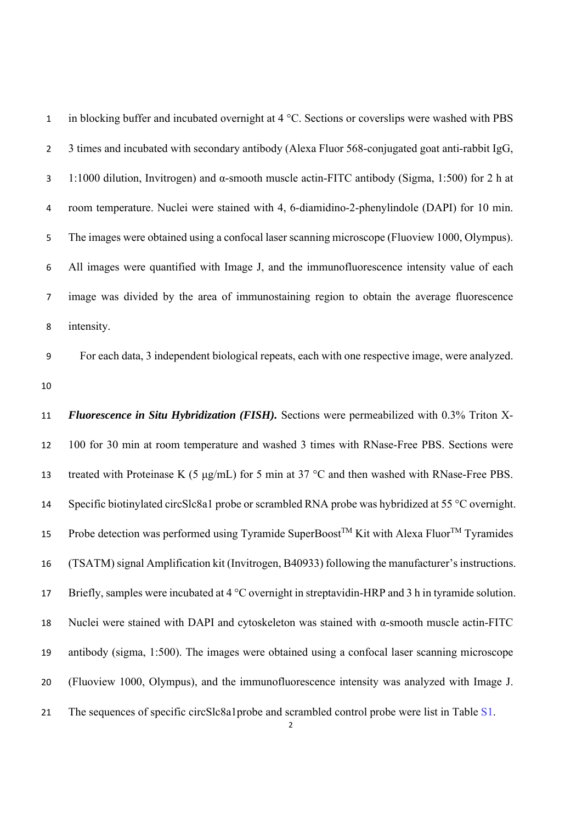1 in blocking buffer and incubated overnight at 4 °C. Sections or coverslips were washed with PBS 3 times and incubated with secondary antibody (Alexa Fluor 568-conjugated goat anti-rabbit IgG, 1:1000 dilution, Invitrogen) and α-smooth muscle actin-FITC antibody (Sigma, 1:500) for 2 h at room temperature. Nuclei were stained with 4, 6-diamidino-2-phenylindole (DAPI) for 10 min. 5 The images were obtained using a confocal laser scanning microscope (Fluoview 1000, Olympus). All images were quantified with Image J, and the immunofluorescence intensity value of each image was divided by the area of immunostaining region to obtain the average fluorescence intensity.

 For each data, 3 independent biological repeats, each with one respective image, were analyzed. 

 *Fluorescence in Situ Hybridization (FISH).* Sections were permeabilized with 0.3% Triton X- 100 for 30 min at room temperature and washed 3 times with RNase-Free PBS. Sections were 13 treated with Proteinase K (5  $\mu$ g/mL) for 5 min at 37 °C and then washed with RNase-Free PBS. 14 Specific biotinylated circSlc8a1 probe or scrambled RNA probe was hybridized at 55 °C overnight. 15 Probe detection was performed using Tyramide SuperBoost<sup>TM</sup> Kit with Alexa Fluor<sup>TM</sup> Tyramides (TSATM) signal Amplification kit (Invitrogen, B40933) following the manufacturer's instructions. 17 Briefly, samples were incubated at 4 °C overnight in streptavidin-HRP and 3 h in tyramide solution. Nuclei were stained with DAPI and cytoskeleton was stained with α-smooth muscle actin-FITC antibody (sigma, 1:500). The images were obtained using a confocal laser scanning microscope (Fluoview 1000, Olympus), and the immunofluorescence intensity was analyzed with Image J. The sequences of specific circSlc8a1probe and scrambled control probe were list in Table S1.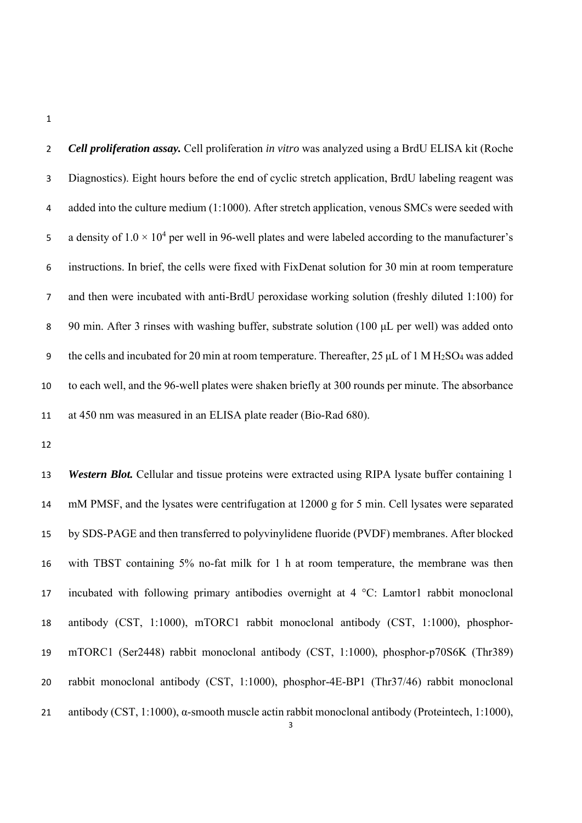*Cell proliferation assay.* Cell proliferation *in vitro* was analyzed using a BrdU ELISA kit (Roche Diagnostics). Eight hours before the end of cyclic stretch application, BrdU labeling reagent was 4 added into the culture medium (1:1000). After stretch application, venous SMCs were seeded with 5 a density of  $1.0 \times 10^4$  per well in 96-well plates and were labeled according to the manufacturer's instructions. In brief, the cells were fixed with FixDenat solution for 30 min at room temperature and then were incubated with anti-BrdU peroxidase working solution (freshly diluted 1:100) for 90 min. After 3 rinses with washing buffer, substrate solution (100 μL per well) was added onto 9 the cells and incubated for 20 min at room temperature. Thereafter,  $25 \mu L$  of 1 M H<sub>2</sub>SO<sub>4</sub> was added to each well, and the 96-well plates were shaken briefly at 300 rounds per minute. The absorbance at 450 nm was measured in an ELISA plate reader (Bio-Rad 680).

 *Western Blot.* Cellular and tissue proteins were extracted using RIPA lysate buffer containing 1 mM PMSF, and the lysates were centrifugation at 12000 g for 5 min. Cell lysates were separated by SDS-PAGE and then transferred to polyvinylidene fluoride (PVDF) membranes. After blocked with TBST containing 5% no-fat milk for 1 h at room temperature, the membrane was then incubated with following primary antibodies overnight at 4 °C: Lamtor1 rabbit monoclonal antibody (CST, 1:1000), mTORC1 rabbit monoclonal antibody (CST, 1:1000), phosphor- mTORC1 (Ser2448) rabbit monoclonal antibody (CST, 1:1000), phosphor-p70S6K (Thr389) rabbit monoclonal antibody (CST, 1:1000), phosphor-4E-BP1 (Thr37/46) rabbit monoclonal antibody (CST, 1:1000), α-smooth muscle actin rabbit monoclonal antibody (Proteintech, 1:1000),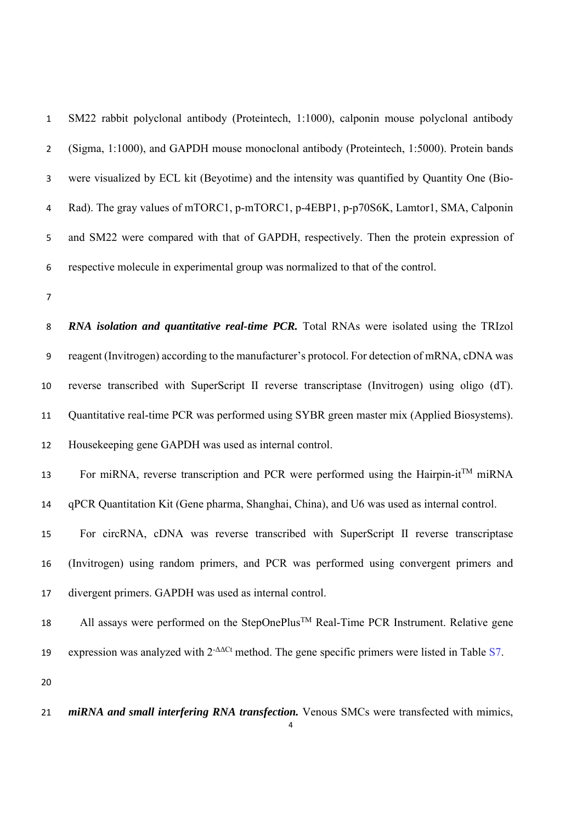SM22 rabbit polyclonal antibody (Proteintech, 1:1000), calponin mouse polyclonal antibody (Sigma, 1:1000), and GAPDH mouse monoclonal antibody (Proteintech, 1:5000). Protein bands were visualized by ECL kit (Beyotime) and the intensity was quantified by Quantity One (Bio- Rad). The gray values of mTORC1, p-mTORC1, p-4EBP1, p-p70S6K, Lamtor1, SMA, Calponin and SM22 were compared with that of GAPDH, respectively. Then the protein expression of respective molecule in experimental group was normalized to that of the control.

*RNA isolation and quantitative real-time PCR*. Total RNAs were isolated using the TRIzol reagent (Invitrogen) according to the manufacturer's protocol. For detection of mRNA, cDNA was reverse transcribed with SuperScript Ⅱ reverse transcriptase (Invitrogen) using oligo (dT). Quantitative real-time PCR was performed using SYBR green master mix (Applied Biosystems). Housekeeping gene GAPDH was used as internal control.

13 For miRNA, reverse transcription and PCR were performed using the Hairpin-it<sup>TM</sup> miRNA

qPCR Quantitation Kit (Gene pharma, Shanghai, China), and U6 was used as internal control.

 For circRNA, cDNA was reverse transcribed with SuperScript Ⅱ reverse transcriptase (Invitrogen) using random primers, and PCR was performed using convergent primers and divergent primers. GAPDH was used as internal control.

 All assays were performed on the StepOnePlus<sup>TM</sup> Real-Time PCR Instrument. Relative gene expression was analyzed with  $2<sup>-\Delta\Delta</sup>$  method. The gene specific primers were listed in Table S7. 

*miRNA and small interfering RNA transfection*. Venous SMCs were transfected with mimics,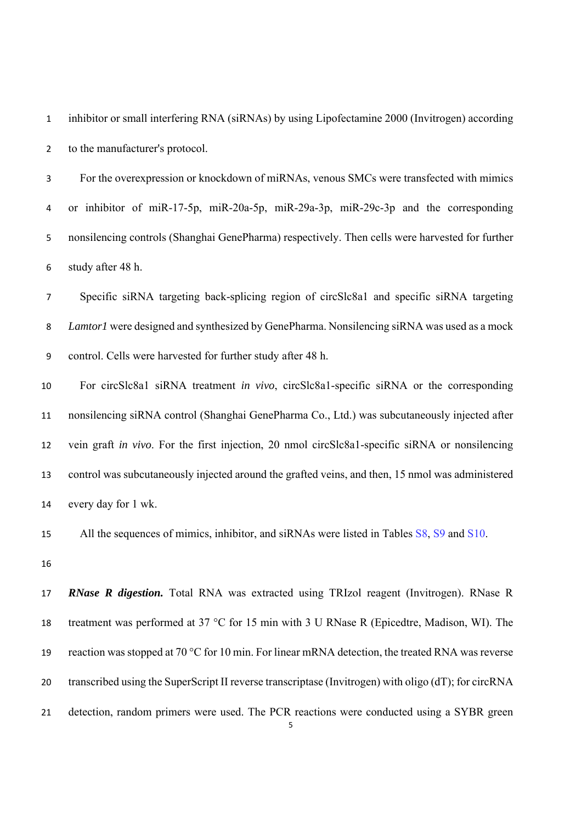inhibitor or small interfering RNA (siRNAs) by using Lipofectamine 2000 (Invitrogen) according to the manufacturer's protocol.

 For the overexpression or knockdown of miRNAs, venous SMCs were transfected with mimics or inhibitor of miR-17-5p, miR-20a-5p, miR-29a-3p, miR-29c-3p and the corresponding nonsilencing controls (Shanghai GenePharma) respectively. Then cells were harvested for further study after 48 h.

 Specific siRNA targeting back-splicing region of circSlc8a1 and specific siRNA targeting *Lamtor1* were designed and synthesized by GenePharma. Nonsilencing siRNA was used as a mock control. Cells were harvested for further study after 48 h.

 For circSlc8a1 siRNA treatment *in vivo*, circSlc8a1-specific siRNA or the corresponding nonsilencing siRNA control (Shanghai GenePharma Co., Ltd.) was subcutaneously injected after vein graft *in vivo*. For the first injection, 20 nmol circSlc8a1-specific siRNA or nonsilencing control was subcutaneously injected around the grafted veins, and then, 15 nmol was administered every day for 1 wk.

15 All the sequences of mimics, inhibitor, and siRNAs were listed in Tables S8, S9 and S10.

 *RNase R digestion.* Total RNA was extracted using TRIzol reagent (Invitrogen). RNase R 18 treatment was performed at 37 °C for 15 min with 3 U RNase R (Epicedtre, Madison, WI). The 19 reaction was stopped at 70 °C for 10 min. For linear mRNA detection, the treated RNA was reverse transcribed using the SuperScript II reverse transcriptase (Invitrogen) with oligo (dT); for circRNA detection, random primers were used. The PCR reactions were conducted using a SYBR green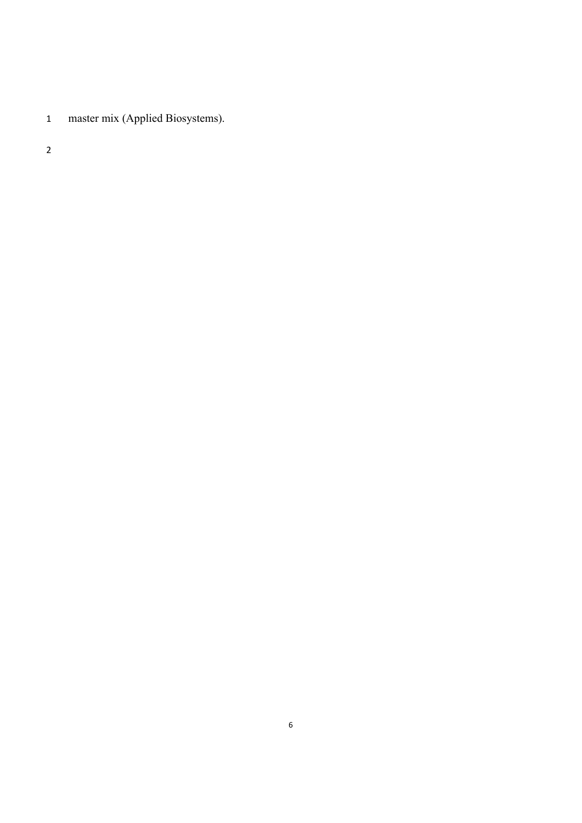master mix (Applied Biosystems).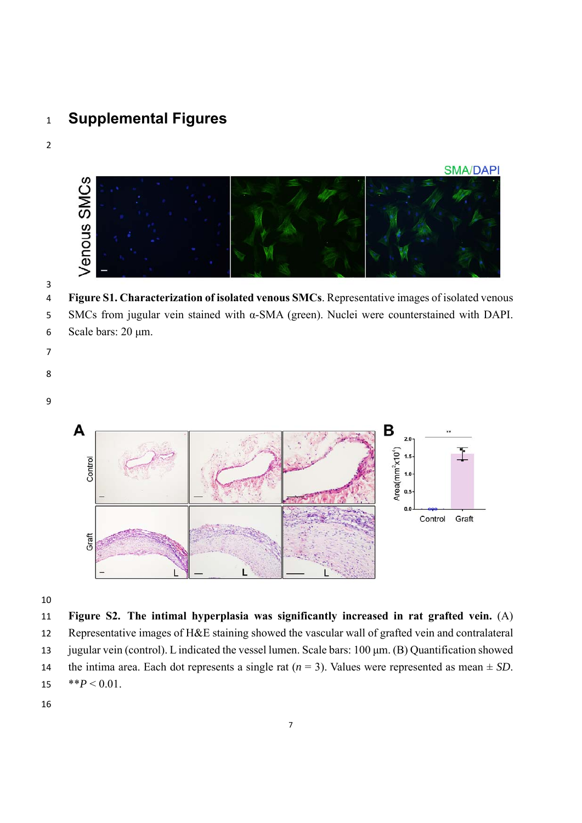# **Supplemental Figures**



#### 

 **Figure S1. Characterization of isolated venous SMCs**. Representative images of isolated venous SMCs from jugular vein stained with α-SMA (green). Nuclei were counterstained with DAPI. Scale bars: 20 μm.

- 
- 
- 
- 



#### 

**Figure S2. The intimal hyperplasia was significantly increased in rat grafted vein.** (A)

 Representative images of H&E staining showed the vascular wall of grafted vein and contralateral jugular vein (control). L indicated the vessel lumen. Scale bars: 100 μm. (B) Quantification showed

14 the intima area. Each dot represents a single rat  $(n = 3)$ . Values were represented as mean  $\pm SD$ .

- 15  $*P < 0.01$ .
-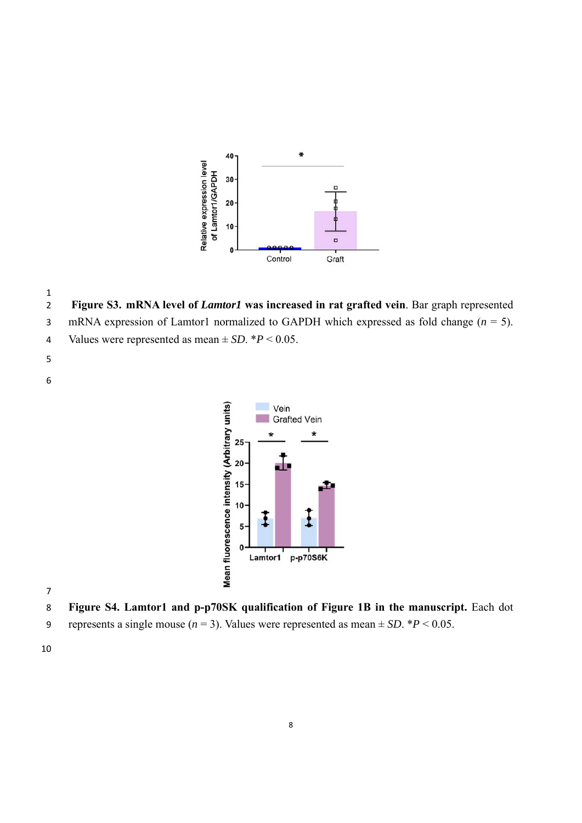

  **Figure S3. mRNA level of** *Lamtor1* **was increased in rat grafted vein**. Bar graph represented mRNA expression of Lamtor1 normalized to GAPDH which expressed as fold change (*n* = 5). 4 Values were represented as mean  $\pm$  *SD*.  $*P$  < 0.05.



- **Figure S4. Lamtor1 and p-p70SK qualification of Figure 1B in the manuscript.** Each dot
- 9 represents a single mouse  $(n = 3)$ . Values were represented as mean  $\pm SD$ . \* $P < 0.05$ .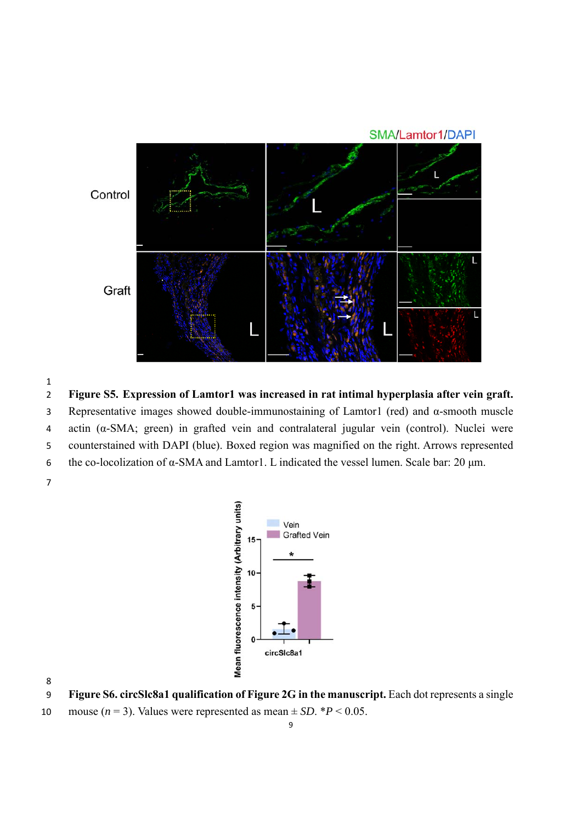

**Figure S5. Expression of Lamtor1 was increased in rat intimal hyperplasia after vein graft.**

Representative images showed double-immunostaining of Lamtor1 (red) and α-smooth muscle

actin (α-SMA; green) in grafted vein and contralateral jugular vein (control). Nuclei were

counterstained with DAPI (blue). Boxed region was magnified on the right. Arrows represented

the co-locolization of α-SMA and Lamtor1. L indicated the vessel lumen. Scale bar: 20 μm.



 **Figure S6. circSlc8a1 qualification of Figure 2G in the manuscript.** Each dot represents a single 10 mouse  $(n = 3)$ . Values were represented as mean  $\pm SD$ . \*  $P < 0.05$ .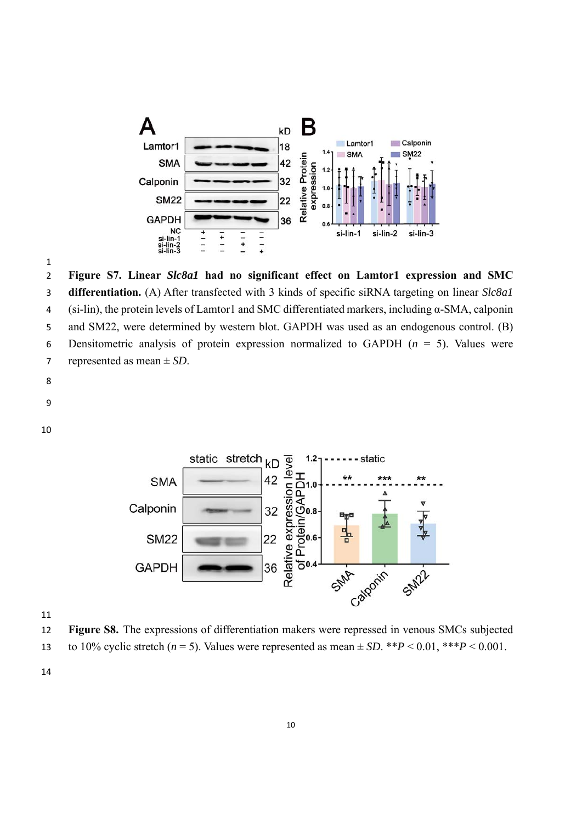

 **Figure S7. Linear** *Slc8a1* **had no significant effect on Lamtor1 expression and SMC differentiation.** (A) After transfected with 3 kinds of specific siRNA targeting on linear *Slc8a1*  (si-lin), the protein levels of Lamtor1 and SMC differentiated markers, including α-SMA, calponin and SM22, were determined by western blot. GAPDH was used as an endogenous control. (B) Densitometric analysis of protein expression normalized to GAPDH (*n* = 5). Values were represented as mean ± *SD*.

- 
- 



 **Figure S8.** The expressions of differentiation makers were repressed in venous SMCs subjected 13 to 10% cyclic stretch  $(n = 5)$ . Values were represented as mean  $\pm SD$ . \*\**P* < 0.01, \*\*\**P* < 0.001.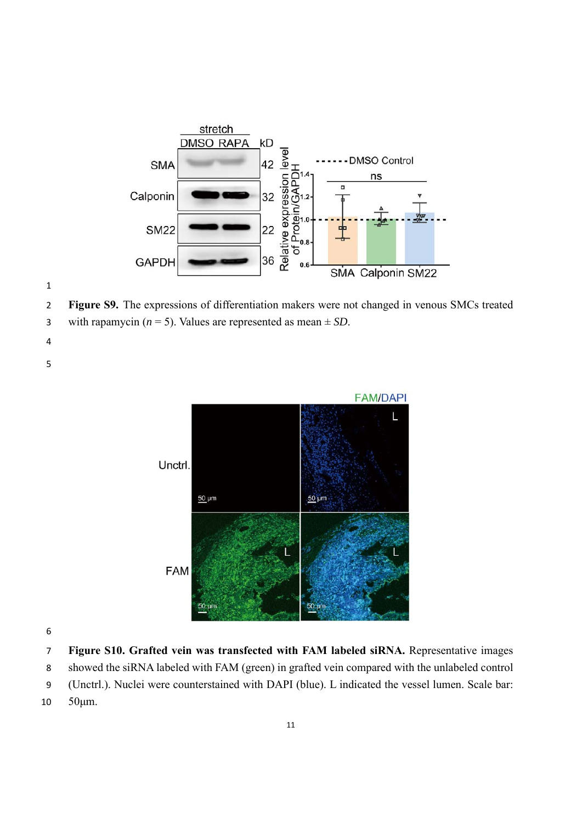



**Figure S9.** The expressions of differentiation makers were not changed in venous SMCs treated





**Figure S10. Grafted vein was transfected with FAM labeled siRNA.** Representative images

showed the siRNA labeled with FAM (green) in grafted vein compared with the unlabeled control

- (Unctrl.). Nuclei were counterstained with DAPI (blue). L indicated the vessel lumen. Scale bar:
- 50μm.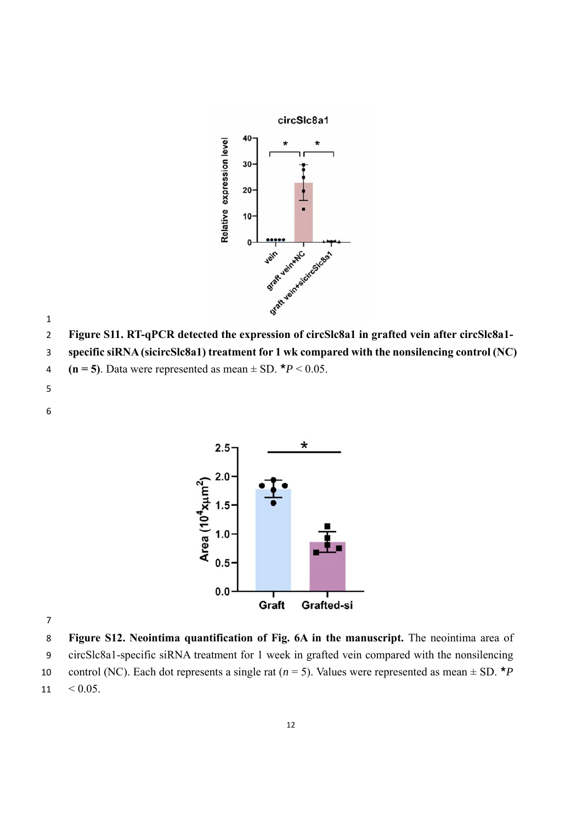

- 
- **Figure S11. RT-qPCR detected the expression of circSlc8a1 in grafted vein after circSlc8a1-**
- **specific siRNA (sicircSlc8a1) treatment for 1 wk compared with the nonsilencing control (NC)**
- **(n = 5)**. Data were represented as mean  $\pm$  SD.  $*P < 0.05$ .
- 



 **Figure S12. Neointima quantification of Fig. 6A in the manuscript.** The neointima area of circSlc8a1-specific siRNA treatment for 1 week in grafted vein compared with the nonsilencing

- 10 control (NC). Each dot represents a single rat  $(n = 5)$ . Values were represented as mean  $\pm$  SD.  $*P$
- $11 \quad < 0.05.$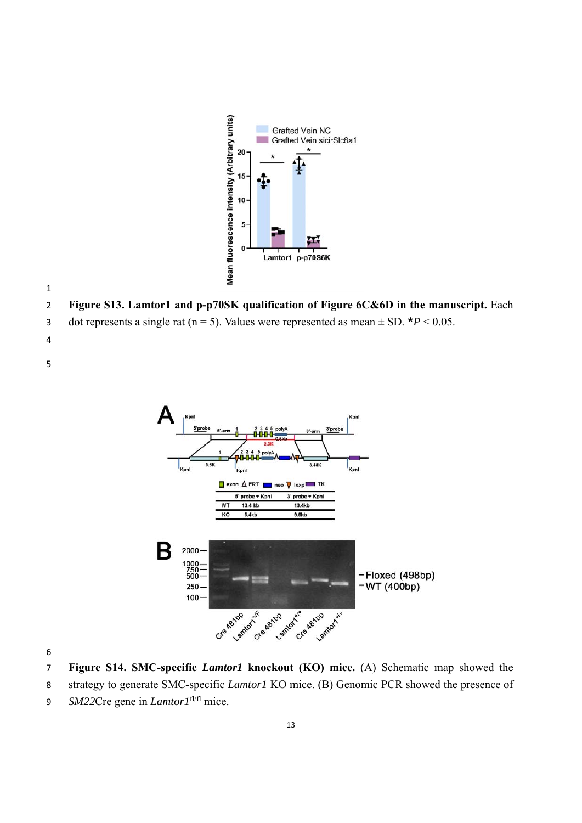



**Figure S13. Lamtor1 and p-p70SK qualification of Figure 6C&6D in the manuscript.** Each

dot represents a single rat ( $n = 5$ ). Values were represented as mean  $\pm$  SD.  $*P < 0.05$ .



**Figure S14. SMC-specific** *Lamtor1* **knockout (KO) mice.** (A) Schematic map showed the

- strategy to generate SMC-specific *Lamtor1* KO mice. (B) Genomic PCR showed the presence of
- 9 *SM22Cre gene in <i>Lamtor1*<sup>fl/fl</sup> mice.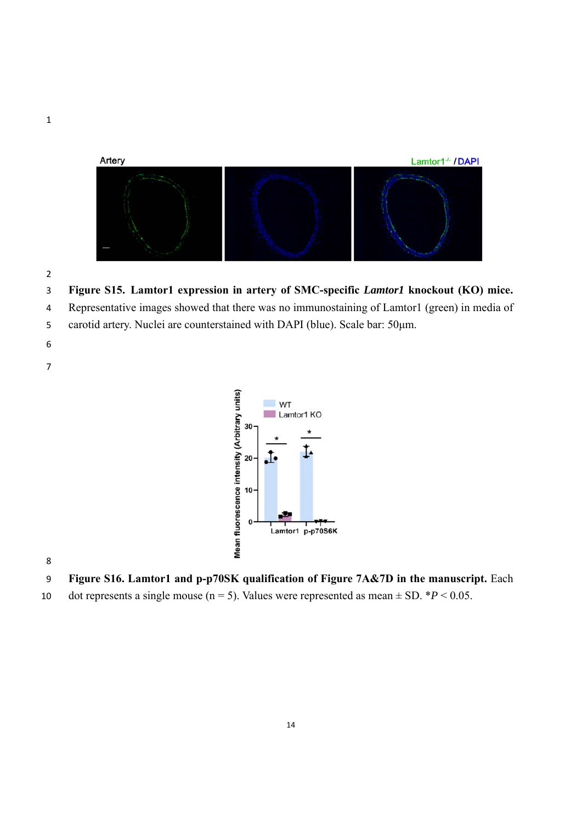



**Figure S15. Lamtor1 expression in artery of SMC-specific** *Lamtor1* **knockout (KO) mice.**

Representative images showed that there was no immunostaining of Lamtor1 (green) in media of

- carotid artery. Nuclei are counterstained with DAPI (blue). Scale bar: 50μm.
- 
- 



**Figure S16. Lamtor1 and p-p70SK qualification of Figure 7A&7D in the manuscript.** Each

10 dot represents a single mouse  $(n = 5)$ . Values were represented as mean  $\pm$  SD. \**P* < 0.05.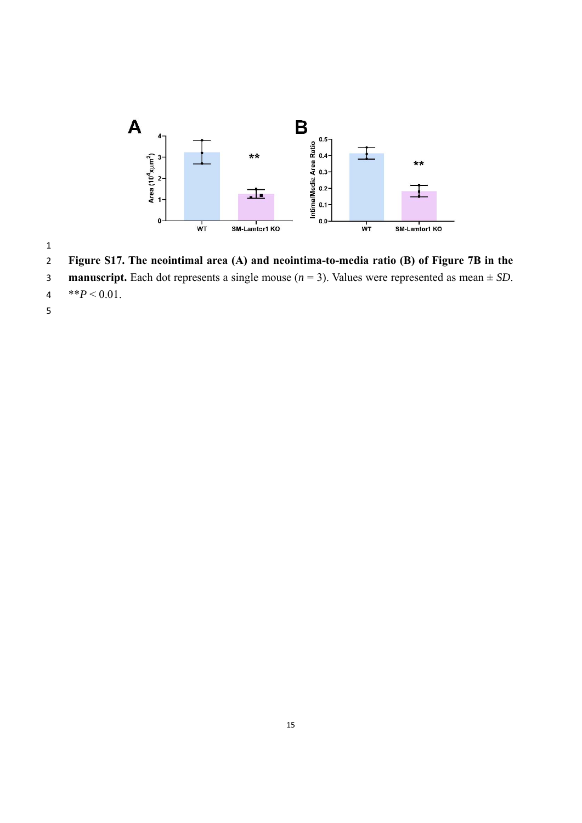

**Figure S17. The neointimal area (A) and neointima-to-media ratio (B) of Figure 7B in the** 

- **manuscript.** Each dot represents a single mouse (*n* = 3). Values were represented as mean ± *SD*.
- 4 \*\* $P < 0.01$ .
-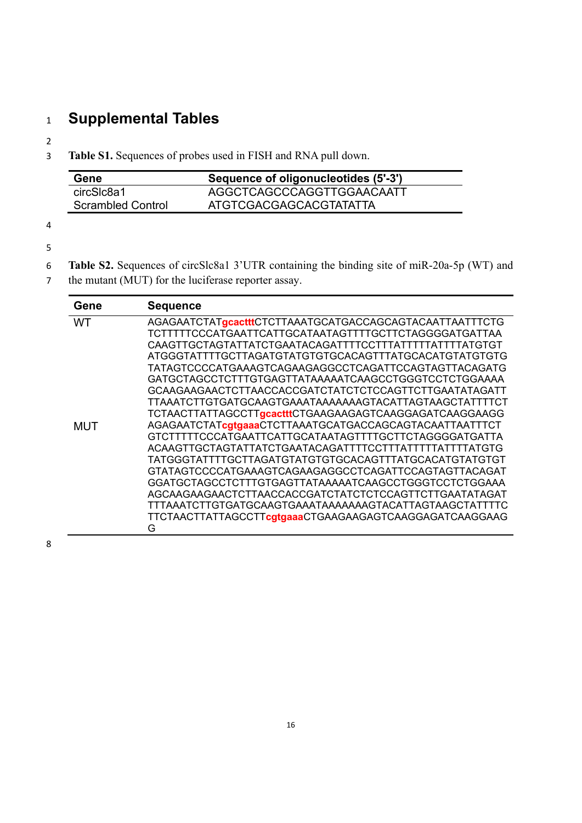# <sup>1</sup> **Supplemental Tables**

2

3 **Table S1.** Sequences of probes used in FISH and RNA pull down.

| Gene              | Sequence of oligonucleotides (5'-3') |
|-------------------|--------------------------------------|
| circSlc8a1        | AGGCTCAGCCCAGGTTGGAACAATT            |
| Scrambled Control | ATGTCGACGAGCACGTATATTA               |

4

5

- 6 **Table S2.** Sequences of circSlc8a1 3'UTR containing the binding site of miR-20a-5p (WT) and
- 7 the mutant (MUT) for the luciferase reporter assay.

| Gene      | <b>Sequence</b>                                         |
|-----------|---------------------------------------------------------|
| <b>WT</b> | AGAGAATCTATgcactttCTCTTAAATGCATGACCAGCAGTACAATTAATTTCTG |
|           | TCTTTTTCCCATGAATTCATTGCATAATAGTTTTGCTTCTAGGGGATGATTAA   |
|           | CAAGTTGCTAGTATTATCTGAATACAGATTTTCCTTTATTTTTATTTTATGTGT  |
|           |                                                         |
|           | TATAGTCCCCATGAAAGTCAGAAGAGCCCTCAGATTCCAGTAGTTACAGATG    |
|           | GATGCTAGCCTCTTTGTGAGTTATAAAAATCAAGCCTGGGTCCTCTGGAAAA    |
|           | GCAAGAAGAACTCTTAACCACCGATCTATCTCTCCAGTTCTTGAATATAGATT   |
|           | TTAAATCTTGTGATGCAAGTGAAATAAAAAAAGTACATTAGTAAGCTATTTTCT  |
|           | TCTAACTTATTAGCCTTgcactttCTGAAGAAGAGTCAAGGAGATCAAGGAAGG  |
| MUT       | AGAGAATCTATcgtgaaaCTCTTAAATGCATGACCAGCAGTACAATTAATTTCT  |
|           | GTCTTTTTCCCATGAATTCATTGCATAATAGTTTTGCTTCTAGGGGATGATTA   |
|           | ACAAGTTGCTAGTATTATCTGAATACAGATTTTCCTTTATTTTATTTTATGTG   |
|           |                                                         |
|           | GTATAGTCCCCATGAAAGTCAGAAGAGGCCTCAGATTCCAGTAGTTACAGAT    |
|           | GGATGCTAGCCTCTTTGTGAGTTATAAAAATCAAGCCTGGGTCCTCTGGAAA    |
|           | AGCAAGAAGAACTCTTAACCACCGATCTATCTCTCCAGTTCTTGAATATAGAT   |
|           | TTTAAATCTTGTGATGCAAGTGAAATAAAAAAAGTACATTAGTAAGCTATTTTC  |
|           | TTCTAACTTATTAGCCTTcgtgaaaCTGAAGAAGAGTCAAGGAGATCAAGGAAG  |
|           | G                                                       |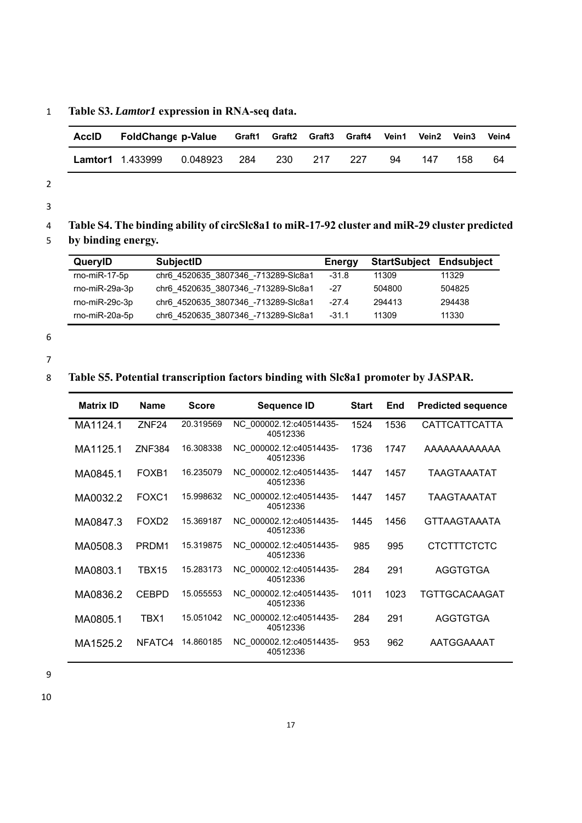1 **Table S3.** *Lamtor1* **expression in RNA-seq data.** 

| <b>AccID</b> | <b>FoldChange p-Value</b> |          |       | Graft1 Graft2 Graft3 Graft4 |     |     | Vein1 | Vein2 | <b>Vein3</b> | Vein4 |
|--------------|---------------------------|----------|-------|-----------------------------|-----|-----|-------|-------|--------------|-------|
|              | <b>Lamtor1</b> 1.433999   | 0.048923 | - 284 | -230                        | 217 | 227 | 94    | 147   | 158          | 64    |

3

4 **Table S4. The binding ability of circSlc8a1 to miR-17-92 cluster and miR-29 cluster predicted** 

# 5 **by binding energy.**

| QueryID          | <b>SubjectID</b>                    | <b>Energy</b> | <b>StartSubject Endsubject</b> |        |
|------------------|-------------------------------------|---------------|--------------------------------|--------|
| $rno-miR-17-5p$  | chr6 4520635 3807346 -713289-Slc8a1 | $-31.8$       | 11309                          | 11329  |
| rno-miR-29a-3p   | chr6 4520635 3807346 -713289-Slc8a1 | $-27$         | 504800                         | 504825 |
| $rno-miR-29c-3p$ | chr6 4520635 3807346 -713289-Slc8a1 | $-27.4$       | 294413                         | 294438 |
| rno-miR-20a-5p   | chr6 4520635 3807346 -713289-Slc8a1 | $-31.1$       | 11309                          | 11330  |

6

7

### 8 **Table S5. Potential transcription factors binding with Slc8a1 promoter by JASPAR.**

| <b>Matrix ID</b> | <b>Name</b>       | <b>Score</b> | <b>Sequence ID</b>                  | <b>Start</b> | End  | <b>Predicted sequence</b> |
|------------------|-------------------|--------------|-------------------------------------|--------------|------|---------------------------|
| MA1124.1         | ZNF <sub>24</sub> | 20.319569    | NC 000002.12:c40514435-<br>40512336 | 1524         | 1536 | <b>CATTCATTCATTA</b>      |
| MA1125.1         | <b>ZNF384</b>     | 16.308338    | NC 000002.12:c40514435-<br>40512336 | 1736         | 1747 | AAAAAAAAAAAA              |
| MA0845.1         | FOXB <sub>1</sub> | 16.235079    | NC 000002.12:c40514435-<br>40512336 | 1447         | 1457 | TAAGTAAATAT               |
| MA0032.2         | FOXC1             | 15.998632    | NC 000002.12:c40514435-<br>40512336 | 1447         | 1457 | TAAGTAAATAT               |
| MA0847.3         | FOXD <sub>2</sub> | 15.369187    | NC 000002.12:c40514435-<br>40512336 | 1445         | 1456 | <b>GTTAAGTAAATA</b>       |
| MA0508.3         | PRDM1             | 15.319875    | NC 000002.12:c40514435-<br>40512336 | 985          | 995  | <b>CTCTTTCTCTC</b>        |
| MA0803.1         | TBX15             | 15.283173    | NC 000002.12:c40514435-<br>40512336 | 284          | 291  | <b>AGGTGTGA</b>           |
| MA0836.2         | <b>CEBPD</b>      | 15.055553    | NC 000002.12:c40514435-<br>40512336 | 1011         | 1023 | TGTTGCACAAGAT             |
| MA0805.1         | TBX1              | 15.051042    | NC 000002.12:c40514435-<br>40512336 | 284          | 291  | <b>AGGTGTGA</b>           |
| MA1525.2         | NFATC4            | 14.860185    | NC 000002.12:c40514435-<br>40512336 | 953          | 962  | AATGGAAAAT                |

9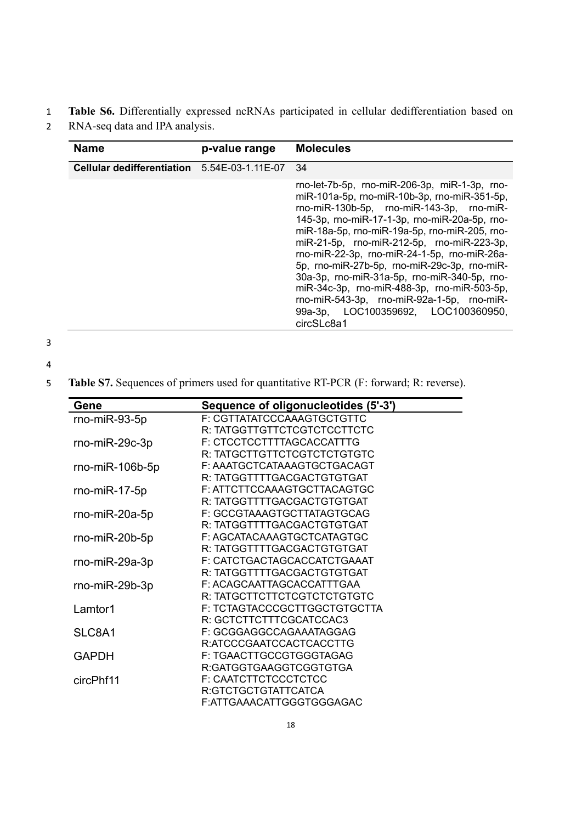## 1 **Table S6.** Differentially expressed ncRNAs participated in cellular dedifferentiation based on

2 RNA-seq data and IPA analysis.

| <b>Name</b>                       | p-value range     | <b>Molecules</b>                                                                                                                                                                                                                                                                                                                                                                                                                                                                                                                                                                             |
|-----------------------------------|-------------------|----------------------------------------------------------------------------------------------------------------------------------------------------------------------------------------------------------------------------------------------------------------------------------------------------------------------------------------------------------------------------------------------------------------------------------------------------------------------------------------------------------------------------------------------------------------------------------------------|
| <b>Cellular dedifferentiation</b> | 5.54E-03-1.11E-07 | 34                                                                                                                                                                                                                                                                                                                                                                                                                                                                                                                                                                                           |
|                                   |                   | rno-let-7b-5p, rno-miR-206-3p, miR-1-3p, rno-<br>miR-101a-5p, rno-miR-10b-3p, rno-miR-351-5p,<br>rno-miR-130b-5p, rno-miR-143-3p, rno-miR-<br>145-3p, rno-miR-17-1-3p, rno-miR-20a-5p, rno-<br>miR-18a-5p, rno-miR-19a-5p, rno-miR-205, rno-<br>miR-21-5p, rno-miR-212-5p, rno-miR-223-3p,<br>rno-miR-22-3p, rno-miR-24-1-5p, rno-miR-26a-<br>5p, rno-miR-27b-5p, rno-miR-29c-3p, rno-miR-<br>30a-3p, rno-miR-31a-5p, rno-miR-340-5p, rno-<br>miR-34c-3p, rno-miR-488-3p, rno-miR-503-5p,<br>rno-miR-543-3p, rno-miR-92a-1-5p, rno-miR-<br>99a-3p, LOC100359692, LOC100360950,<br>circSLc8a1 |

3

5 **Table S7.** Sequences of primers used for quantitative RT-PCR (F: forward; R: reverse).

| Gene              | Sequence of oligonucleotides (5'-3') |
|-------------------|--------------------------------------|
| $rno-miR-93-5p$   | F: CGTTATATCCCAAAGTGCTGTTC           |
|                   | R: TATGGTTGTTCTCGTCTCCTTCTC          |
| $rno-miR-29c-3p$  | F: CTCCTCCTTTTAGCACCATTTG            |
|                   | R: TATGCTTGTTCTCGTCTCTGTGTC          |
| $rno-miR-106b-5p$ | F: AAATGCTCATAAAGTGCTGACAGT          |
|                   | R: TATGGTTTTGACGACTGTGTGAT           |
| $rno-miR-17-5p$   | F: ATTCTTCCAAAGTGCTTACAGTGC          |
|                   | R: TATGGTTTTGACGACTGTGTGAT           |
| rno-miR-20a-5p    | F: GCCGTAAAGTGCTTATAGTGCAG           |
|                   | R: TATGGTTTTGACGACTGTGTGAT           |
| $rno-miR-20b-5p$  | F: AGCATACAAAGTGCTCATAGTGC           |
|                   | R: TATGGTTTTGACGACTGTGTGAT           |
| rno-miR-29a-3p    | F: CATCTGACTAGCACCATCTGAAAT          |
|                   | R: TATGGTTTTGACGACTGTGTGAT           |
| $rno-miR-29b-3p$  | F: ACAGCAATTAGCACCATTTGAA            |
|                   | R: TATGCTTCTTCTCGTCTCTGTGTC          |
| Lamtor1           | F: TCTAGTACCCGCTTGGCTGTGCTTA         |
|                   | R: GCTCTTCTTTCGCATCCAC3              |
| SLC8A1            | F: GCGGAGGCCAGAAATAGGAG              |
|                   | R:ATCCCGAATCCACTCACCTTG              |
| <b>GAPDH</b>      | F: TGAACTTGCCGTGGGTAGAG              |
|                   | R:GATGGTGAAGGTCGGTGTGA               |
| circPhf11         | F: CAATCTTCTCCCTCTCC                 |
|                   | R:GTCTGCTGTATTCATCA                  |
|                   | F:ATTGAAACATTGGGTGGGAGAC             |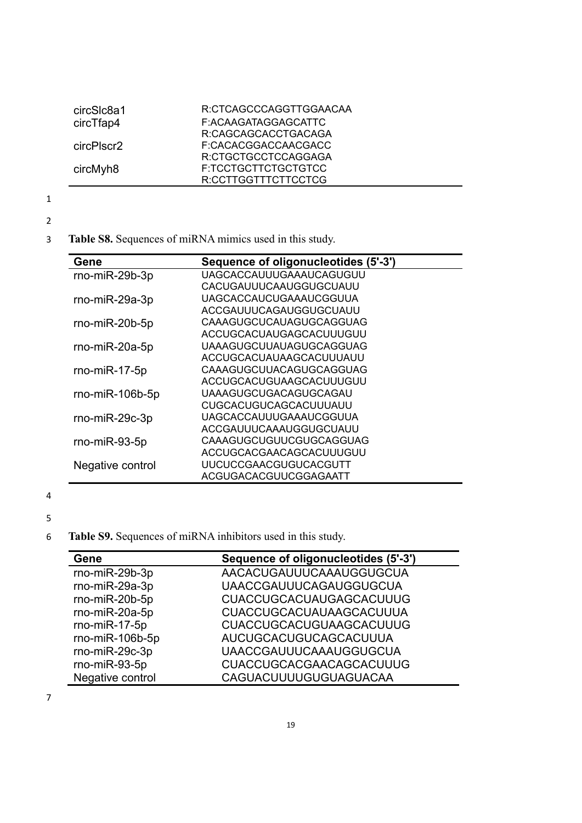| circSIc8a1 | R:CTCAGCCCAGGTTGGAACAA |
|------------|------------------------|
| circTfap4  | F:ACAAGATAGGAGCATTC    |
|            | R:CAGCAGCACCTGACAGA    |
| circPlscr2 | F:CACACGGACCAACGACC    |
|            | R:CTGCTGCCTCCAGGAGA    |
| circMyh8   | F:TCCTGCTTCTGCTGTCC    |
|            | R:CCTTGGTTTCTTCCTCG    |
|            |                        |

- 
- 2
- 3 **Table S8.** Sequences of miRNA mimics used in this study.

| Gene             | Sequence of oligonucleotides (5'-3') |
|------------------|--------------------------------------|
| rno-miR-29b-3p   | UAGCACCAUUUGAAAUCAGUGUU              |
|                  | CACUGAUUUCAAUGGUGCUAUU               |
| $rno-miR-29a-3p$ | UAGCACCAUCUGAAAUCGGUUA               |
|                  | ACCGAUUUCAGAUGGUGCUAUU               |
| $rno-miR-20b-5p$ | CAAAGUGCUCAUAGUGCAGGUAG              |
|                  | ACCUGCACUAUGAGCACUUUGUU              |
| $rno-miR-20a-5p$ | UAAAGUGCUUAUAGUGCAGGUAG              |
|                  | ACCUGCACUAUAAGCACUUUAUU              |
| $rno-miR-17-5p$  | CAAAGUGCUUACAGUGCAGGUAG              |
|                  | ACCUGCACUGUAAGCACUUUGUU              |
| rno-miR-106b-5p  | UAAAGUGCUGACAGUGCAGAU                |
|                  | CUGCACUGUCAGCACUUUAUU                |
| $rno-miR-29c-3p$ | UAGCACCAUUUGAAAUCGGUUA               |
|                  | ACCGAUUUCAAAUGGUGCUAUU               |
| $rno-miR-93-5p$  | CAAAGUGCUGUUCGUGCAGGUAG              |
|                  | ACCUGCACGAACAGCACUUUGUU              |
| Negative control | <b>UUCUCCGAACGUGUCACGUTT</b>         |
|                  | ACGUGACACGUUCGGAGAATT                |

4

5

6 **Table S9.** Sequences of miRNA inhibitors used in this study.

| Gene             | Sequence of oligonucleotides (5'-3') |
|------------------|--------------------------------------|
| rno-miR-29b-3p   | AACACUGAUUUCAAAUGGUGCUA              |
| rno-miR-29a-3p   | <b>UAACCGAUUUCAGAUGGUGCUA</b>        |
| rno-miR-20b-5p   | <b>CUACCUGCACUAUGAGCACUUUG</b>       |
| rno-miR-20a-5p   | CUACCUGCACUAUAAGCACUUUA              |
| rno-miR-17-5p    | <b>CUACCUGCACUGUAAGCACUUUG</b>       |
| rno-miR-106b-5p  | AUCUGCACUGUCAGCACUUUA                |
| rno-miR-29c-3p   | <b>UAACCGAUUUCAAAUGGUGCUA</b>        |
| rno-miR-93-5p    | <b>CUACCUGCACGAACAGCACUUUG</b>       |
| Negative control | CAGUACUUUUGUGUAGUACAA                |

7

 $\blacksquare$